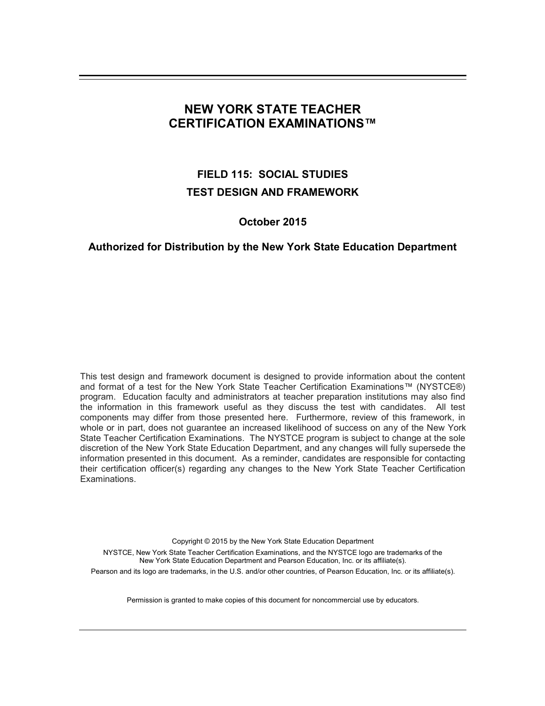# **NEW YORK STATE TEACHER CERTIFICATION EXAMINATIONS™**

# **FIELD 115: SOCIAL STUDIES TEST DESIGN AND FRAMEWORK**

# **October 2015**

## **Authorized for Distribution by the New York State Education Department**

This test design and framework document is designed to provide information about the content and format of a test for the New York State Teacher Certification Examinations™ (NYSTCE®) program. Education faculty and administrators at teacher preparation institutions may also find the information in this framework useful as they discuss the test with candidates. All test components may differ from those presented here. Furthermore, review of this framework, in whole or in part, does not guarantee an increased likelihood of success on any of the New York State Teacher Certification Examinations. The NYSTCE program is subject to change at the sole discretion of the New York State Education Department, and any changes will fully supersede the information presented in this document. As a reminder, candidates are responsible for contacting their certification officer(s) regarding any changes to the New York State Teacher Certification Examinations.

Copyright © 2015 by the New York State Education Department NYSTCE, New York State Teacher Certification Examinations, and the NYSTCE logo are trademarks of the New York State Education Department and Pearson Education, Inc. or its affiliate(s). Pearson and its logo are trademarks, in the U.S. and/or other countries, of Pearson Education, Inc. or its affiliate(s).

Permission is granted to make copies of this document for noncommercial use by educators.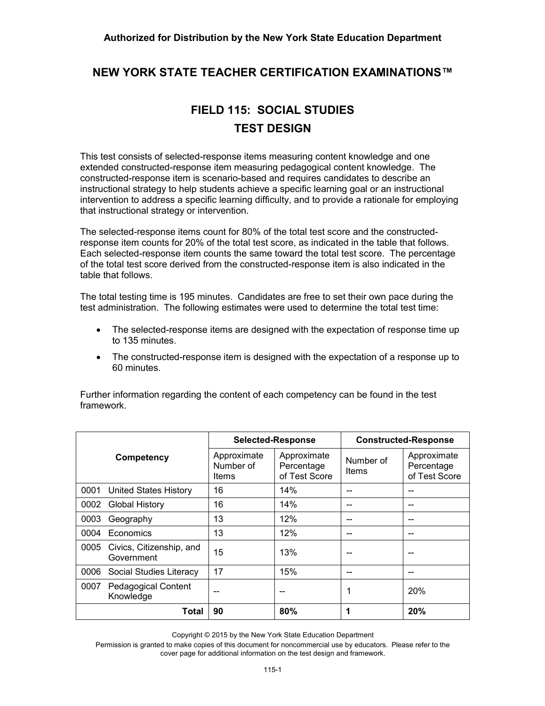# **NEW YORK STATE TEACHER CERTIFICATION EXAMINATIONS™**

# **FIELD 115: SOCIAL STUDIES TEST DESIGN**

This test consists of selected-response items measuring content knowledge and one extended constructed-response item measuring pedagogical content knowledge. The constructed-response item is scenario-based and requires candidates to describe an instructional strategy to help students achieve a specific learning goal or an instructional intervention to address a specific learning difficulty, and to provide a rationale for employing that instructional strategy or intervention.

The selected-response items count for 80% of the total test score and the constructedresponse item counts for 20% of the total test score, as indicated in the table that follows. Each selected-response item counts the same toward the total test score. The percentage of the total test score derived from the constructed-response item is also indicated in the table that follows.

The total testing time is 195 minutes. Candidates are free to set their own pace during the test administration. The following estimates were used to determine the total test time:

- · The selected-response items are designed with the expectation of response time up to 135 minutes.
- · The constructed-response item is designed with the expectation of a response up to 60 minutes.

|      |                                         | <b>Selected-Response</b>          |                                            | <b>Constructed-Response</b> |                                            |
|------|-----------------------------------------|-----------------------------------|--------------------------------------------|-----------------------------|--------------------------------------------|
|      | Competency                              | Approximate<br>Number of<br>Items | Approximate<br>Percentage<br>of Test Score | Number of<br>Items          | Approximate<br>Percentage<br>of Test Score |
| 0001 | United States History                   | 16                                | 14%                                        |                             |                                            |
| 0002 | <b>Global History</b>                   | 16                                | 14%                                        |                             |                                            |
| 0003 | Geography                               | 13                                | 12%                                        |                             |                                            |
| 0004 | Economics                               | 13                                | 12%                                        |                             |                                            |
| 0005 | Civics, Citizenship, and<br>Government  | 15                                | 13%                                        |                             |                                            |
| 0006 | Social Studies Literacy                 | 17                                | 15%                                        |                             |                                            |
| 0007 | <b>Pedagogical Content</b><br>Knowledge |                                   |                                            |                             | <b>20%</b>                                 |
|      | Total                                   | 90                                | 80%                                        | 1                           | 20%                                        |

Further information regarding the content of each competency can be found in the test framework.

Copyright © 2015 by the New York State Education Department

Permission is granted to make copies of this document for noncommercial use by educators. Please refer to the cover page for additional information on the test design and framework.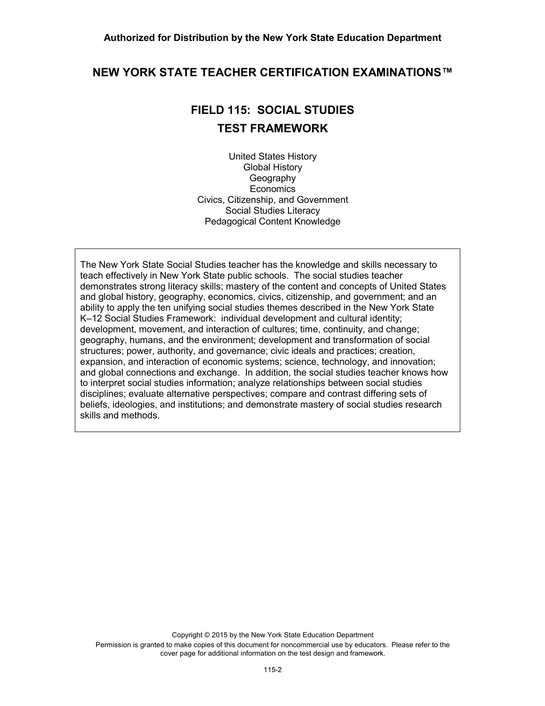# **NEW YORK STATE TEACHER CERTIFICATION EXAMINATIONS™**

# **FIELD 115: SOCIAL STUDIES TEST FRAMEWORK**

United States History Global History **Geography Economics** Civics, Citizenship, and Government Social Studies Literacy Pedagogical Content Knowledge

The New York State Social Studies teacher has the knowledge and skills necessary to teach effectively in New York State public schools. The social studies teacher demonstrates strong literacy skills; mastery of the content and concepts of United States and global history, geography, economics, civics, citizenship, and government; and an ability to apply the ten unifying social studies themes described in the New York State K–12 Social Studies Framework: individual development and cultural identity; development, movement, and interaction of cultures; time, continuity, and change; geography, humans, and the environment; development and transformation of social structures; power, authority, and governance; civic ideals and practices; creation, expansion, and interaction of economic systems; science, technology, and innovation; and global connections and exchange. In addition, the social studies teacher knows how to interpret social studies information; analyze relationships between social studies disciplines; evaluate alternative perspectives; compare and contrast differing sets of beliefs, ideologies, and institutions; and demonstrate mastery of social studies research skills and methods.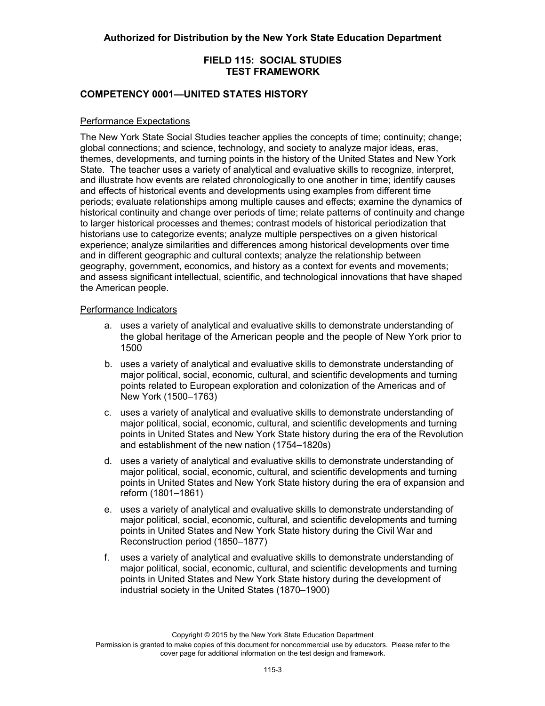## **COMPETENCY 0001—UNITED STATES HISTORY**

#### Performance Expectations

The New York State Social Studies teacher applies the concepts of time; continuity; change; global connections; and science, technology, and society to analyze major ideas, eras, themes, developments, and turning points in the history of the United States and New York State. The teacher uses a variety of analytical and evaluative skills to recognize, interpret, and illustrate how events are related chronologically to one another in time; identify causes and effects of historical events and developments using examples from different time periods; evaluate relationships among multiple causes and effects; examine the dynamics of historical continuity and change over periods of time; relate patterns of continuity and change to larger historical processes and themes; contrast models of historical periodization that historians use to categorize events; analyze multiple perspectives on a given historical experience; analyze similarities and differences among historical developments over time and in different geographic and cultural contexts; analyze the relationship between geography, government, economics, and history as a context for events and movements; and assess significant intellectual, scientific, and technological innovations that have shaped the American people.

#### Performance Indicators

- a. uses a variety of analytical and evaluative skills to demonstrate understanding of the global heritage of the American people and the people of New York prior to 1500
- b. uses a variety of analytical and evaluative skills to demonstrate understanding of major political, social, economic, cultural, and scientific developments and turning points related to European exploration and colonization of the Americas and of New York (1500–1763)
- c. uses a variety of analytical and evaluative skills to demonstrate understanding of major political, social, economic, cultural, and scientific developments and turning points in United States and New York State history during the era of the Revolution and establishment of the new nation (1754–1820s)
- d. uses a variety of analytical and evaluative skills to demonstrate understanding of major political, social, economic, cultural, and scientific developments and turning points in United States and New York State history during the era of expansion and reform (1801–1861)
- e. uses a variety of analytical and evaluative skills to demonstrate understanding of major political, social, economic, cultural, and scientific developments and turning points in United States and New York State history during the Civil War and Reconstruction period (1850–1877)
- f. uses a variety of analytical and evaluative skills to demonstrate understanding of major political, social, economic, cultural, and scientific developments and turning points in United States and New York State history during the development of industrial society in the United States (1870–1900)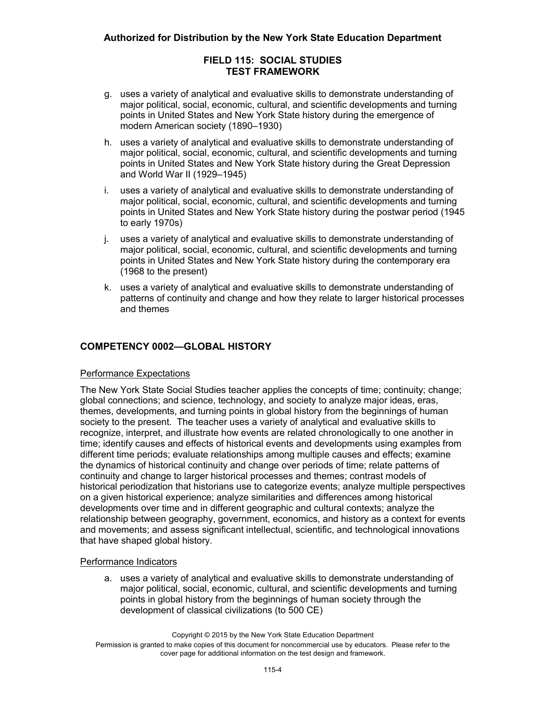- g. uses a variety of analytical and evaluative skills to demonstrate understanding of major political, social, economic, cultural, and scientific developments and turning points in United States and New York State history during the emergence of modern American society (1890–1930)
- h. uses a variety of analytical and evaluative skills to demonstrate understanding of major political, social, economic, cultural, and scientific developments and turning points in United States and New York State history during the Great Depression and World War II (1929–1945)
- i. uses a variety of analytical and evaluative skills to demonstrate understanding of major political, social, economic, cultural, and scientific developments and turning points in United States and New York State history during the postwar period (1945 to early 1970s)
- j. uses a variety of analytical and evaluative skills to demonstrate understanding of major political, social, economic, cultural, and scientific developments and turning points in United States and New York State history during the contemporary era (1968 to the present)
- k. uses a variety of analytical and evaluative skills to demonstrate understanding of patterns of continuity and change and how they relate to larger historical processes and themes

# **COMPETENCY 0002—GLOBAL HISTORY**

#### Performance Expectations

The New York State Social Studies teacher applies the concepts of time; continuity; change; global connections; and science, technology, and society to analyze major ideas, eras, themes, developments, and turning points in global history from the beginnings of human society to the present. The teacher uses a variety of analytical and evaluative skills to recognize, interpret, and illustrate how events are related chronologically to one another in time; identify causes and effects of historical events and developments using examples from different time periods; evaluate relationships among multiple causes and effects; examine the dynamics of historical continuity and change over periods of time; relate patterns of continuity and change to larger historical processes and themes; contrast models of historical periodization that historians use to categorize events; analyze multiple perspectives on a given historical experience; analyze similarities and differences among historical developments over time and in different geographic and cultural contexts; analyze the relationship between geography, government, economics, and history as a context for events and movements; and assess significant intellectual, scientific, and technological innovations that have shaped global history.

#### Performance Indicators

a. uses a variety of analytical and evaluative skills to demonstrate understanding of major political, social, economic, cultural, and scientific developments and turning points in global history from the beginnings of human society through the development of classical civilizations (to 500 CE)

Copyright © 2015 by the New York State Education Department Permission is granted to make copies of this document for noncommercial use by educators. Please refer to the cover page for additional information on the test design and framework.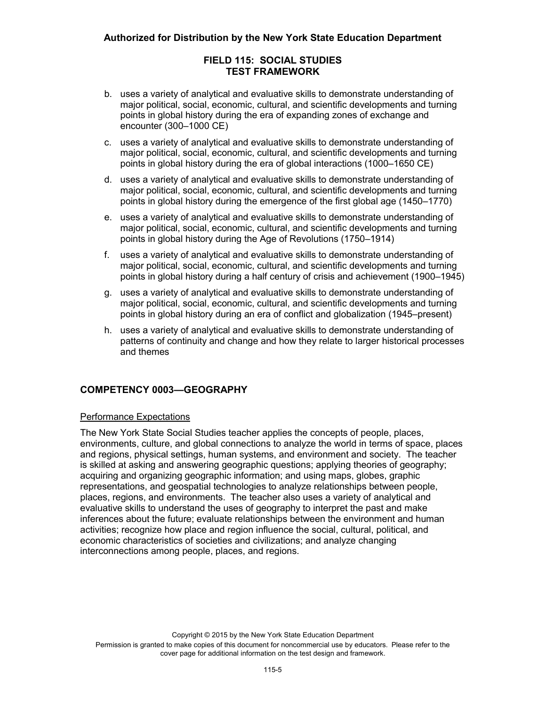- b. uses a variety of analytical and evaluative skills to demonstrate understanding of major political, social, economic, cultural, and scientific developments and turning points in global history during the era of expanding zones of exchange and encounter (300–1000 CE)
- c. uses a variety of analytical and evaluative skills to demonstrate understanding of major political, social, economic, cultural, and scientific developments and turning points in global history during the era of global interactions (1000–1650 CE)
- d. uses a variety of analytical and evaluative skills to demonstrate understanding of major political, social, economic, cultural, and scientific developments and turning points in global history during the emergence of the first global age (1450–1770)
- e. uses a variety of analytical and evaluative skills to demonstrate understanding of major political, social, economic, cultural, and scientific developments and turning points in global history during the Age of Revolutions (1750–1914)
- f. uses a variety of analytical and evaluative skills to demonstrate understanding of major political, social, economic, cultural, and scientific developments and turning points in global history during a half century of crisis and achievement (1900–1945)
- g. uses a variety of analytical and evaluative skills to demonstrate understanding of major political, social, economic, cultural, and scientific developments and turning points in global history during an era of conflict and globalization (1945–present)
- h. uses a variety of analytical and evaluative skills to demonstrate understanding of patterns of continuity and change and how they relate to larger historical processes and themes

# **COMPETENCY 0003—GEOGRAPHY**

## Performance Expectations

The New York State Social Studies teacher applies the concepts of people, places, environments, culture, and global connections to analyze the world in terms of space, places and regions, physical settings, human systems, and environment and society. The teacher is skilled at asking and answering geographic questions; applying theories of geography; acquiring and organizing geographic information; and using maps, globes, graphic representations, and geospatial technologies to analyze relationships between people, places, regions, and environments. The teacher also uses a variety of analytical and evaluative skills to understand the uses of geography to interpret the past and make inferences about the future; evaluate relationships between the environment and human activities; recognize how place and region influence the social, cultural, political, and economic characteristics of societies and civilizations; and analyze changing interconnections among people, places, and regions.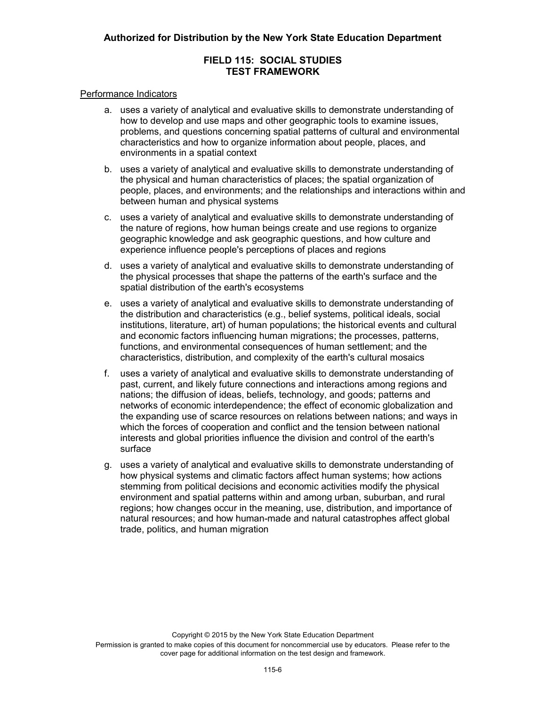#### Performance Indicators

- a. uses a variety of analytical and evaluative skills to demonstrate understanding of how to develop and use maps and other geographic tools to examine issues, problems, and questions concerning spatial patterns of cultural and environmental characteristics and how to organize information about people, places, and environments in a spatial context
- b. uses a variety of analytical and evaluative skills to demonstrate understanding of the physical and human characteristics of places; the spatial organization of people, places, and environments; and the relationships and interactions within and between human and physical systems
- c. uses a variety of analytical and evaluative skills to demonstrate understanding of the nature of regions, how human beings create and use regions to organize geographic knowledge and ask geographic questions, and how culture and experience influence people's perceptions of places and regions
- d. uses a variety of analytical and evaluative skills to demonstrate understanding of the physical processes that shape the patterns of the earth's surface and the spatial distribution of the earth's ecosystems
- e. uses a variety of analytical and evaluative skills to demonstrate understanding of the distribution and characteristics (e.g., belief systems, political ideals, social institutions, literature, art) of human populations; the historical events and cultural and economic factors influencing human migrations; the processes, patterns, functions, and environmental consequences of human settlement; and the characteristics, distribution, and complexity of the earth's cultural mosaics
- f. uses a variety of analytical and evaluative skills to demonstrate understanding of past, current, and likely future connections and interactions among regions and nations; the diffusion of ideas, beliefs, technology, and goods; patterns and networks of economic interdependence; the effect of economic globalization and the expanding use of scarce resources on relations between nations; and ways in which the forces of cooperation and conflict and the tension between national interests and global priorities influence the division and control of the earth's surface
- g. uses a variety of analytical and evaluative skills to demonstrate understanding of how physical systems and climatic factors affect human systems; how actions stemming from political decisions and economic activities modify the physical environment and spatial patterns within and among urban, suburban, and rural regions; how changes occur in the meaning, use, distribution, and importance of natural resources; and how human-made and natural catastrophes affect global trade, politics, and human migration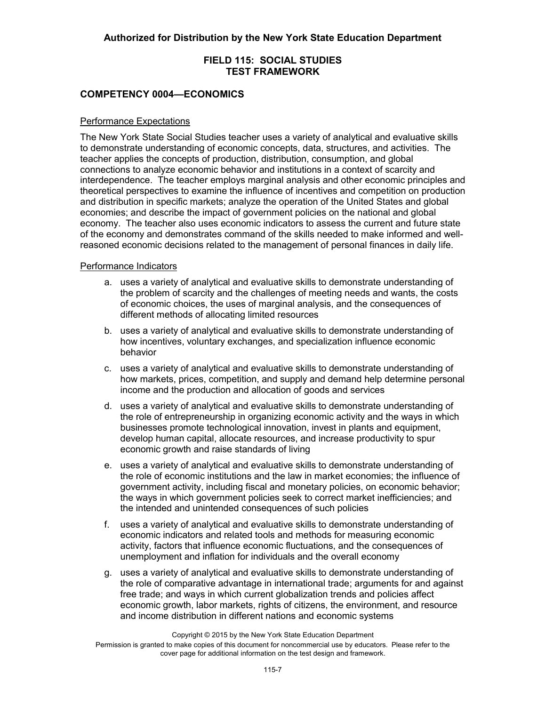#### **COMPETENCY 0004—ECONOMICS**

#### Performance Expectations

The New York State Social Studies teacher uses a variety of analytical and evaluative skills to demonstrate understanding of economic concepts, data, structures, and activities. The teacher applies the concepts of production, distribution, consumption, and global connections to analyze economic behavior and institutions in a context of scarcity and interdependence. The teacher employs marginal analysis and other economic principles and theoretical perspectives to examine the influence of incentives and competition on production and distribution in specific markets; analyze the operation of the United States and global economies; and describe the impact of government policies on the national and global economy. The teacher also uses economic indicators to assess the current and future state of the economy and demonstrates command of the skills needed to make informed and wellreasoned economic decisions related to the management of personal finances in daily life.

#### Performance Indicators

- a. uses a variety of analytical and evaluative skills to demonstrate understanding of the problem of scarcity and the challenges of meeting needs and wants, the costs of economic choices, the uses of marginal analysis, and the consequences of different methods of allocating limited resources
- b. uses a variety of analytical and evaluative skills to demonstrate understanding of how incentives, voluntary exchanges, and specialization influence economic behavior
- c. uses a variety of analytical and evaluative skills to demonstrate understanding of how markets, prices, competition, and supply and demand help determine personal income and the production and allocation of goods and services
- d. uses a variety of analytical and evaluative skills to demonstrate understanding of the role of entrepreneurship in organizing economic activity and the ways in which businesses promote technological innovation, invest in plants and equipment, develop human capital, allocate resources, and increase productivity to spur economic growth and raise standards of living
- e. uses a variety of analytical and evaluative skills to demonstrate understanding of the role of economic institutions and the law in market economies; the influence of government activity, including fiscal and monetary policies, on economic behavior; the ways in which government policies seek to correct market inefficiencies; and the intended and unintended consequences of such policies
- f. uses a variety of analytical and evaluative skills to demonstrate understanding of economic indicators and related tools and methods for measuring economic activity, factors that influence economic fluctuations, and the consequences of unemployment and inflation for individuals and the overall economy
- g. uses a variety of analytical and evaluative skills to demonstrate understanding of the role of comparative advantage in international trade; arguments for and against free trade; and ways in which current globalization trends and policies affect economic growth, labor markets, rights of citizens, the environment, and resource and income distribution in different nations and economic systems

Copyright © 2015 by the New York State Education Department

Permission is granted to make copies of this document for noncommercial use by educators. Please refer to the cover page for additional information on the test design and framework.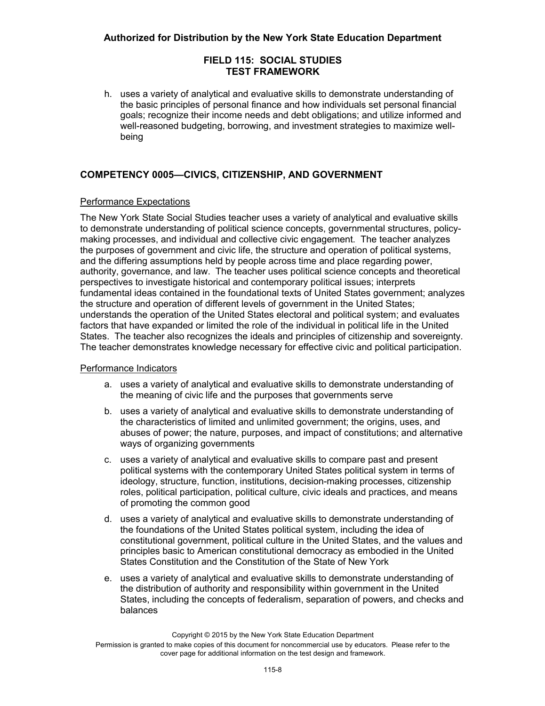h. uses a variety of analytical and evaluative skills to demonstrate understanding of the basic principles of personal finance and how individuals set personal financial goals; recognize their income needs and debt obligations; and utilize informed and well-reasoned budgeting, borrowing, and investment strategies to maximize wellbeing

# **COMPETENCY 0005—CIVICS, CITIZENSHIP, AND GOVERNMENT**

#### Performance Expectations

The New York State Social Studies teacher uses a variety of analytical and evaluative skills to demonstrate understanding of political science concepts, governmental structures, policymaking processes, and individual and collective civic engagement. The teacher analyzes the purposes of government and civic life, the structure and operation of political systems, and the differing assumptions held by people across time and place regarding power, authority, governance, and law. The teacher uses political science concepts and theoretical perspectives to investigate historical and contemporary political issues; interprets fundamental ideas contained in the foundational texts of United States government; analyzes the structure and operation of different levels of government in the United States; understands the operation of the United States electoral and political system; and evaluates factors that have expanded or limited the role of the individual in political life in the United States. The teacher also recognizes the ideals and principles of citizenship and sovereignty. The teacher demonstrates knowledge necessary for effective civic and political participation.

#### Performance Indicators

- a. uses a variety of analytical and evaluative skills to demonstrate understanding of the meaning of civic life and the purposes that governments serve
- b. uses a variety of analytical and evaluative skills to demonstrate understanding of the characteristics of limited and unlimited government; the origins, uses, and abuses of power; the nature, purposes, and impact of constitutions; and alternative ways of organizing governments
- c. uses a variety of analytical and evaluative skills to compare past and present political systems with the contemporary United States political system in terms of ideology, structure, function, institutions, decision-making processes, citizenship roles, political participation, political culture, civic ideals and practices, and means of promoting the common good
- d. uses a variety of analytical and evaluative skills to demonstrate understanding of the foundations of the United States political system, including the idea of constitutional government, political culture in the United States, and the values and principles basic to American constitutional democracy as embodied in the United States Constitution and the Constitution of the State of New York
- e. uses a variety of analytical and evaluative skills to demonstrate understanding of the distribution of authority and responsibility within government in the United States, including the concepts of federalism, separation of powers, and checks and balances

Copyright © 2015 by the New York State Education Department

Permission is granted to make copies of this document for noncommercial use by educators. Please refer to the cover page for additional information on the test design and framework.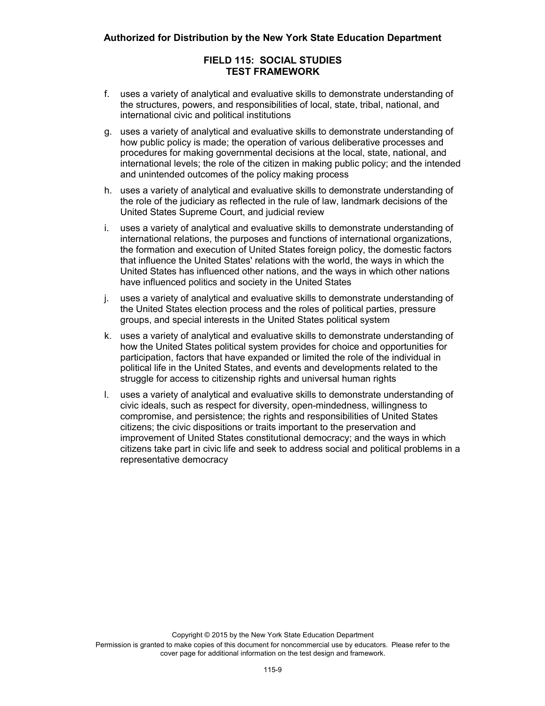- f. uses a variety of analytical and evaluative skills to demonstrate understanding of the structures, powers, and responsibilities of local, state, tribal, national, and international civic and political institutions
- g. uses a variety of analytical and evaluative skills to demonstrate understanding of how public policy is made; the operation of various deliberative processes and procedures for making governmental decisions at the local, state, national, and international levels; the role of the citizen in making public policy; and the intended and unintended outcomes of the policy making process
- h. uses a variety of analytical and evaluative skills to demonstrate understanding of the role of the judiciary as reflected in the rule of law, landmark decisions of the United States Supreme Court, and judicial review
- i. uses a variety of analytical and evaluative skills to demonstrate understanding of international relations, the purposes and functions of international organizations, the formation and execution of United States foreign policy, the domestic factors that influence the United States' relations with the world, the ways in which the United States has influenced other nations, and the ways in which other nations have influenced politics and society in the United States
- j. uses a variety of analytical and evaluative skills to demonstrate understanding of the United States election process and the roles of political parties, pressure groups, and special interests in the United States political system
- k. uses a variety of analytical and evaluative skills to demonstrate understanding of how the United States political system provides for choice and opportunities for participation, factors that have expanded or limited the role of the individual in political life in the United States, and events and developments related to the struggle for access to citizenship rights and universal human rights
- l. uses a variety of analytical and evaluative skills to demonstrate understanding of civic ideals, such as respect for diversity, open-mindedness, willingness to compromise, and persistence; the rights and responsibilities of United States citizens; the civic dispositions or traits important to the preservation and improvement of United States constitutional democracy; and the ways in which citizens take part in civic life and seek to address social and political problems in a representative democracy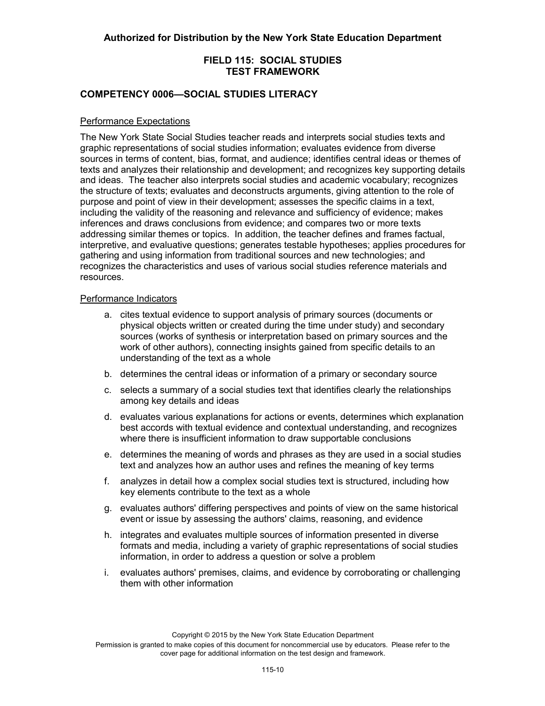## **COMPETENCY 0006—SOCIAL STUDIES LITERACY**

#### Performance Expectations

The New York State Social Studies teacher reads and interprets social studies texts and graphic representations of social studies information; evaluates evidence from diverse sources in terms of content, bias, format, and audience; identifies central ideas or themes of texts and analyzes their relationship and development; and recognizes key supporting details and ideas. The teacher also interprets social studies and academic vocabulary; recognizes the structure of texts; evaluates and deconstructs arguments, giving attention to the role of purpose and point of view in their development; assesses the specific claims in a text, including the validity of the reasoning and relevance and sufficiency of evidence; makes inferences and draws conclusions from evidence; and compares two or more texts addressing similar themes or topics. In addition, the teacher defines and frames factual, interpretive, and evaluative questions; generates testable hypotheses; applies procedures for gathering and using information from traditional sources and new technologies; and recognizes the characteristics and uses of various social studies reference materials and resources.

#### Performance Indicators

- a. cites textual evidence to support analysis of primary sources (documents or physical objects written or created during the time under study) and secondary sources (works of synthesis or interpretation based on primary sources and the work of other authors), connecting insights gained from specific details to an understanding of the text as a whole
- b. determines the central ideas or information of a primary or secondary source
- c. selects a summary of a social studies text that identifies clearly the relationships among key details and ideas
- d. evaluates various explanations for actions or events, determines which explanation best accords with textual evidence and contextual understanding, and recognizes where there is insufficient information to draw supportable conclusions
- e. determines the meaning of words and phrases as they are used in a social studies text and analyzes how an author uses and refines the meaning of key terms
- f. analyzes in detail how a complex social studies text is structured, including how key elements contribute to the text as a whole
- g. evaluates authors' differing perspectives and points of view on the same historical event or issue by assessing the authors' claims, reasoning, and evidence
- h. integrates and evaluates multiple sources of information presented in diverse formats and media, including a variety of graphic representations of social studies information, in order to address a question or solve a problem
- i. evaluates authors' premises, claims, and evidence by corroborating or challenging them with other information

Copyright © 2015 by the New York State Education Department

Permission is granted to make copies of this document for noncommercial use by educators. Please refer to the cover page for additional information on the test design and framework.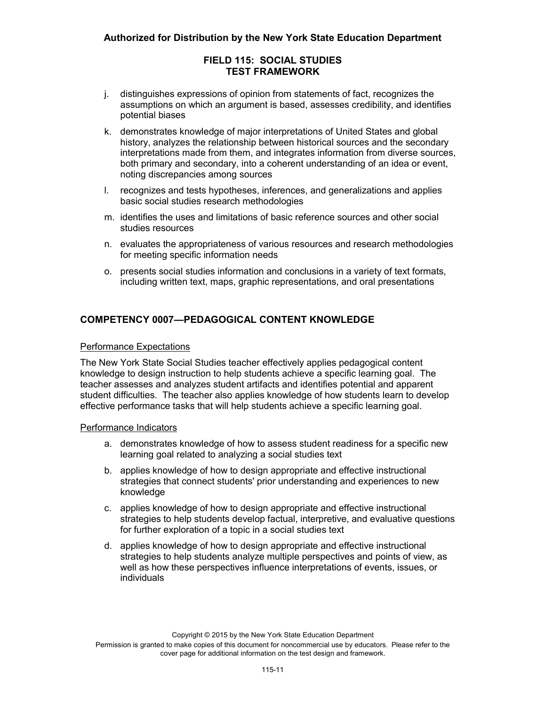- j. distinguishes expressions of opinion from statements of fact, recognizes the assumptions on which an argument is based, assesses credibility, and identifies potential biases
- k. demonstrates knowledge of major interpretations of United States and global history, analyzes the relationship between historical sources and the secondary interpretations made from them, and integrates information from diverse sources, both primary and secondary, into a coherent understanding of an idea or event, noting discrepancies among sources
- l. recognizes and tests hypotheses, inferences, and generalizations and applies basic social studies research methodologies
- m. identifies the uses and limitations of basic reference sources and other social studies resources
- n. evaluates the appropriateness of various resources and research methodologies for meeting specific information needs
- o. presents social studies information and conclusions in a variety of text formats, including written text, maps, graphic representations, and oral presentations

# **COMPETENCY 0007—PEDAGOGICAL CONTENT KNOWLEDGE**

#### Performance Expectations

The New York State Social Studies teacher effectively applies pedagogical content knowledge to design instruction to help students achieve a specific learning goal. The teacher assesses and analyzes student artifacts and identifies potential and apparent student difficulties. The teacher also applies knowledge of how students learn to develop effective performance tasks that will help students achieve a specific learning goal.

#### Performance Indicators

- a. demonstrates knowledge of how to assess student readiness for a specific new learning goal related to analyzing a social studies text
- b. applies knowledge of how to design appropriate and effective instructional strategies that connect students' prior understanding and experiences to new knowledge
- c. applies knowledge of how to design appropriate and effective instructional strategies to help students develop factual, interpretive, and evaluative questions for further exploration of a topic in a social studies text
- d. applies knowledge of how to design appropriate and effective instructional strategies to help students analyze multiple perspectives and points of view, as well as how these perspectives influence interpretations of events, issues, or individuals

Permission is granted to make copies of this document for noncommercial use by educators. Please refer to the cover page for additional information on the test design and framework.